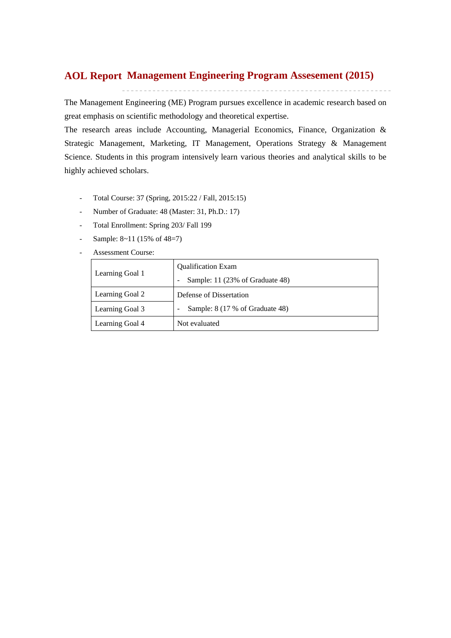## **Management Engineering Program Assesement (2015) AOL Report**

The Management Engineering (ME) Program pursues excellence in academic research based on great emphasis on scientific methodology and theoretical expertise.

The research areas include Accounting, Managerial Economics, Finance, Organization & Strategic Management, Marketing, IT Management, Operations Strategy & Management Science. Students in this program intensively learn various theories and analytical skills to be highly achieved scholars.

- Total Course: 37 (Spring, 2015:22 / Fall, 2015:15)
- Number of Graduate: 48 (Master: 31, Ph.D.: 17)
- Total Enrollment: Spring 203/ Fall 199
- Sample:  $8 \sim 11$  (15% of 48=7)
- Assessment Course:

| Learning Goal 1 | <b>Qualification Exam</b>       |  |  |  |  |  |
|-----------------|---------------------------------|--|--|--|--|--|
|                 | Sample: 11 (23% of Graduate 48) |  |  |  |  |  |
| Learning Goal 2 | Defense of Dissertation         |  |  |  |  |  |
| Learning Goal 3 | Sample: 8 (17 % of Graduate 48) |  |  |  |  |  |
| Learning Goal 4 | Not evaluated                   |  |  |  |  |  |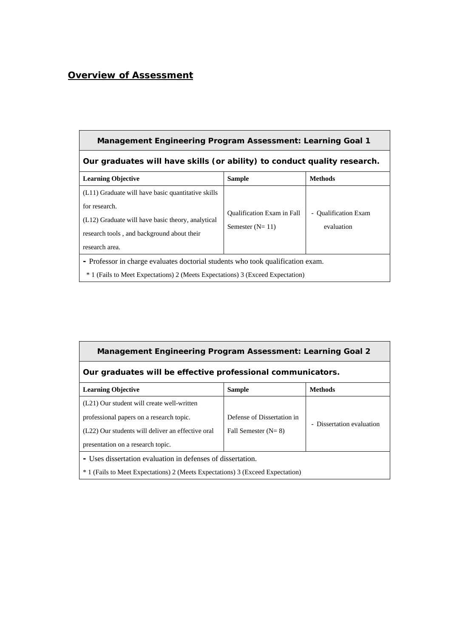## *Overview of Assessment*

| <b>Management Engineering Program Assessment: Learning Goal 1</b>                                                                                                                        |                                                        |                                    |  |  |  |  |  |  |  |  |
|------------------------------------------------------------------------------------------------------------------------------------------------------------------------------------------|--------------------------------------------------------|------------------------------------|--|--|--|--|--|--|--|--|
| Our graduates will have skills (or ability) to conduct quality research.                                                                                                                 |                                                        |                                    |  |  |  |  |  |  |  |  |
| <b>Learning Objective</b><br><b>Sample</b><br><b>Methods</b>                                                                                                                             |                                                        |                                    |  |  |  |  |  |  |  |  |
| (L11) Graduate will have basic quantitative skills<br>for research.<br>(L12) Graduate will have basic theory, analytical<br>research tools, and background about their<br>research area. | <b>Oualification Exam in Fall</b><br>Semester $(N=11)$ | - Qualification Exam<br>evaluation |  |  |  |  |  |  |  |  |
| - Professor in charge evaluates doctorial students who took qualification exam.<br>* 1 (Fails to Meet Expectations) 2 (Meets Expectations) 3 (Exceed Expectation)                        |                                                        |                                    |  |  |  |  |  |  |  |  |

| Management Engineering Program Assessment: Learning Goal 2 |
|------------------------------------------------------------|
|------------------------------------------------------------|

# **Our graduates will be effective professional communicators.**

| <b>Learning Objective</b>                                   | <b>Sample</b>              | <b>Methods</b>            |  |  |  |  |  |  |  |
|-------------------------------------------------------------|----------------------------|---------------------------|--|--|--|--|--|--|--|
| (L21) Our student will create well-written                  |                            |                           |  |  |  |  |  |  |  |
| professional papers on a research topic.                    | Defense of Dissertation in | - Dissertation evaluation |  |  |  |  |  |  |  |
| (L22) Our students will deliver an effective oral           | Fall Semester $(N=8)$      |                           |  |  |  |  |  |  |  |
| presentation on a research topic.                           |                            |                           |  |  |  |  |  |  |  |
| - Uses dissertation evaluation in defenses of dissertation. |                            |                           |  |  |  |  |  |  |  |
|                                                             |                            |                           |  |  |  |  |  |  |  |

\* 1 (Fails to Meet Expectations) 2 (Meets Expectations) 3 (Exceed Expectation)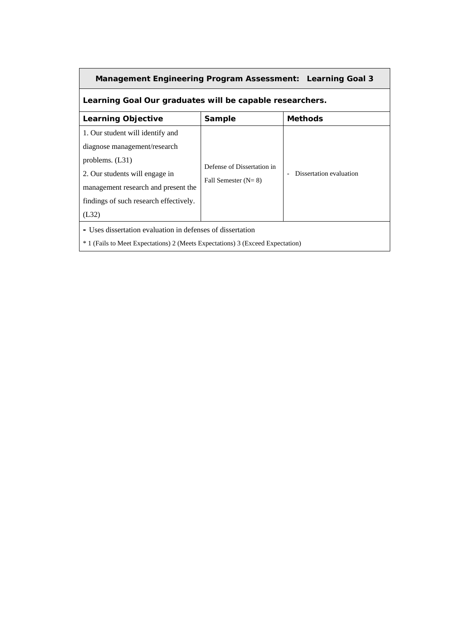| <b>Management Engineering Program Assessment: Learning Goal 3</b>                                                                                                                                        |                                                     |                         |  |  |  |  |  |  |  |  |
|----------------------------------------------------------------------------------------------------------------------------------------------------------------------------------------------------------|-----------------------------------------------------|-------------------------|--|--|--|--|--|--|--|--|
| Learning Goal Our graduates will be capable researchers.                                                                                                                                                 |                                                     |                         |  |  |  |  |  |  |  |  |
| <b>Learning Objective</b><br><b>Sample</b><br><b>Methods</b>                                                                                                                                             |                                                     |                         |  |  |  |  |  |  |  |  |
| 1. Our student will identify and<br>diagnose management/research<br>problems. $(L31)$<br>2. Our students will engage in<br>management research and present the<br>findings of such research effectively. | Defense of Dissertation in<br>Fall Semester $(N=8)$ | Dissertation evaluation |  |  |  |  |  |  |  |  |
| (L32)<br>- Uses dissertation evaluation in defenses of dissertation<br><sup>*</sup> 1 (Fails to Meet Expectations) 2 (Meets Expectations) 3 (Exceed Expectation)                                         |                                                     |                         |  |  |  |  |  |  |  |  |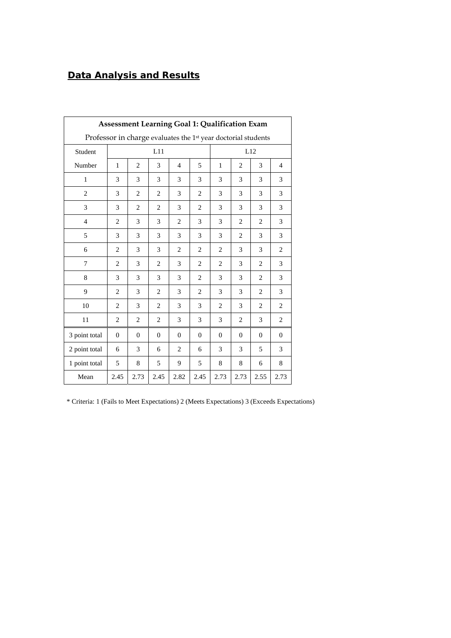# *Data Analysis and Results*

| <b>Assessment Learning Goal 1: Qualification Exam</b>                     |                |                |                |                |                |                |                |                |                |  |  |
|---------------------------------------------------------------------------|----------------|----------------|----------------|----------------|----------------|----------------|----------------|----------------|----------------|--|--|
| Professor in charge evaluates the 1 <sup>st</sup> year doctorial students |                |                |                |                |                |                |                |                |                |  |  |
| Student                                                                   |                |                | L11            |                |                |                | L12            |                |                |  |  |
| Number                                                                    | $\mathbf{1}$   | $\overline{2}$ | 3              | $\overline{4}$ | 5              | $\mathbf{1}$   | $\overline{2}$ | 3              | $\overline{4}$ |  |  |
| 1                                                                         | 3              | 3              | 3              | 3              | 3              | 3              | 3              | 3              | 3              |  |  |
| $\overline{c}$                                                            | 3              | $\overline{2}$ | $\overline{2}$ | 3              | $\overline{c}$ | 3              | 3              | 3              | 3              |  |  |
| 3                                                                         | 3              | $\overline{2}$ | $\overline{2}$ | 3              | $\overline{2}$ | 3              | 3              | 3              | 3              |  |  |
| $\overline{4}$                                                            | $\overline{c}$ | 3              | 3              | $\overline{c}$ | 3              | 3              | $\overline{2}$ | $\overline{2}$ | 3              |  |  |
| 5                                                                         | 3              | 3              | 3              | 3              | 3              | 3              | $\overline{2}$ | 3              | 3              |  |  |
| 6                                                                         | $\overline{c}$ | 3              | 3              | $\overline{c}$ | $\overline{2}$ | $\overline{c}$ | 3              | 3              | $\overline{2}$ |  |  |
| $\overline{7}$                                                            | 2              | 3              | 2              | 3              | $\overline{c}$ | $\overline{c}$ | 3              | $\overline{2}$ | 3              |  |  |
| 8                                                                         | 3              | 3              | 3              | 3              | $\overline{c}$ | 3              | 3              | $\overline{2}$ | 3              |  |  |
| 9                                                                         | $\overline{c}$ | 3              | $\overline{c}$ | 3              | $\overline{c}$ | 3              | 3              | $\overline{2}$ | 3              |  |  |
| 10                                                                        | $\overline{c}$ | 3              | $\overline{c}$ | 3              | 3              | $\overline{c}$ | 3              | $\overline{2}$ | $\overline{c}$ |  |  |
| 11                                                                        | $\overline{c}$ | $\overline{2}$ | $\overline{c}$ | 3              | 3              | 3              | $\overline{c}$ | 3              | $\overline{c}$ |  |  |
| 3 point total                                                             | $\mathbf{0}$   | $\theta$       | $\mathbf{0}$   | $\overline{0}$ | $\theta$       | $\overline{0}$ | $\overline{0}$ | $\mathbf{0}$   | $\mathbf{0}$   |  |  |
| 2 point total                                                             | 6              | 3              | 6              | $\overline{2}$ | 6              | 3              | 3              | 5              | 3              |  |  |
| 1 point total                                                             | 5              | 8              | 5              | 9              | 5              | 8              | 8              | 6              | 8              |  |  |
| Mean                                                                      | 2.45           | 2.73           | 2.45           | 2.82           | 2.45           | 2.73           | 2.73           | 2.55           | 2.73           |  |  |

\* Criteria: 1 (Fails to Meet Expectations) 2 (Meets Expectations) 3 (Exceeds Expectations)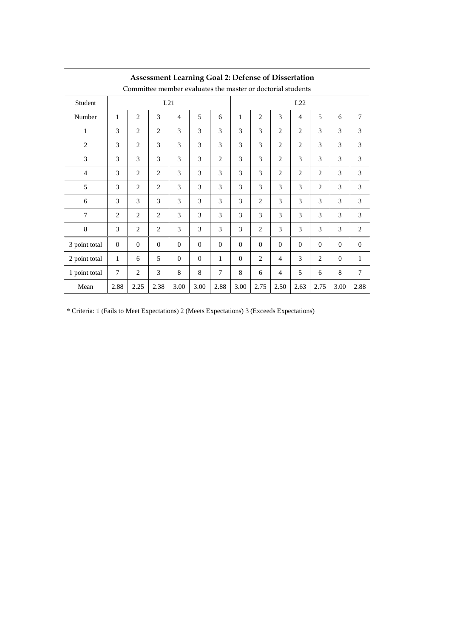| <b>Assessment Learning Goal 2: Defense of Dissertation</b><br>Committee member evaluates the master or doctorial students |                |                |                |                |          |                |          |                |                |          |                |          |          |
|---------------------------------------------------------------------------------------------------------------------------|----------------|----------------|----------------|----------------|----------|----------------|----------|----------------|----------------|----------|----------------|----------|----------|
| Student                                                                                                                   | L21            |                |                |                |          |                | L22      |                |                |          |                |          |          |
| Number                                                                                                                    | 1              | $\overline{2}$ | 3              | $\overline{4}$ | 5        | 6              | 1        | 2              | 3              | 4        | 5              | 6        | $\tau$   |
| 1                                                                                                                         | 3              | 2              | 2              | 3              | 3        | 3              | 3        | 3              | $\overline{c}$ | 2        | 3              | 3        | 3        |
| $\overline{2}$                                                                                                            | 3              | $\overline{2}$ | 3              | 3              | 3        | 3              | 3        | 3              | $\overline{2}$ | 2        | 3              | 3        | 3        |
| 3                                                                                                                         | 3              | 3              | 3              | 3              | 3        | $\overline{c}$ | 3        | 3              | $\overline{2}$ | 3        | 3              | 3        | 3        |
| $\overline{4}$                                                                                                            | 3              | 2              | 2              | 3              | 3        | 3              | 3        | 3              | $\overline{c}$ | 2        | 2              | 3        | 3        |
| 5                                                                                                                         | 3              | $\overline{2}$ | $\overline{2}$ | 3              | 3        | 3              | 3        | 3              | 3              | 3        | 2              | 3        | 3        |
| 6                                                                                                                         | 3              | 3              | 3              | 3              | 3        | 3              | 3        | $\overline{c}$ | 3              | 3        | 3              | 3        | 3        |
| $\overline{7}$                                                                                                            | $\overline{c}$ | 2              | $\overline{c}$ | 3              | 3        | 3              | 3        | 3              | 3              | 3        | 3              | 3        | 3        |
| $\,$ 8 $\,$                                                                                                               | 3              | $\overline{2}$ | $\overline{2}$ | 3              | 3        | 3              | 3        | $\overline{2}$ | 3              | 3        | 3              | 3        | 2        |
| 3 point total                                                                                                             | $\Omega$       | $\Omega$       | $\Omega$       | $\Omega$       | $\theta$ | $\Omega$       | $\Omega$ | $\Omega$       | $\Omega$       | $\Omega$ | $\Omega$       | $\Omega$ | $\Omega$ |
| 2 point total                                                                                                             | 1              | 6              | 5              | $\Omega$       | $\Omega$ | 1              | $\Omega$ | $\overline{c}$ | $\overline{4}$ | 3        | $\overline{2}$ | $\Omega$ | 1        |
| 1 point total                                                                                                             | $\tau$         | $\overline{2}$ | 3              | 8              | 8        | 7              | 8        | 6              | 4              | 5        | 6              | 8        | 7        |
| Mean                                                                                                                      | 2.88           | 2.25           | 2.38           | 3.00           | 3.00     | 2.88           | 3.00     | 2.75           | 2.50           | 2.63     | 2.75           | 3.00     | 2.88     |

\* Criteria: 1 (Fails to Meet Expectations) 2 (Meets Expectations) 3 (Exceeds Expectations)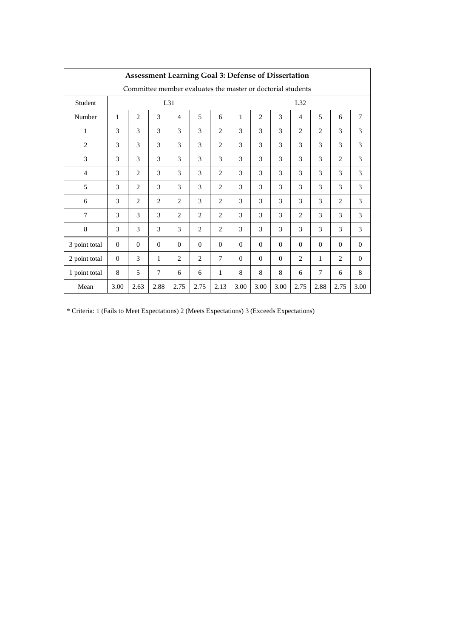| Assessment Learning Goal 3: Defense of Dissertation         |              |                |                |                |                |                |              |                |          |                |          |              |                |
|-------------------------------------------------------------|--------------|----------------|----------------|----------------|----------------|----------------|--------------|----------------|----------|----------------|----------|--------------|----------------|
| Committee member evaluates the master or doctorial students |              |                |                |                |                |                |              |                |          |                |          |              |                |
| Student                                                     |              |                | L31            |                |                |                | L32          |                |          |                |          |              |                |
| Number                                                      | $\mathbf{1}$ | $\overline{c}$ | 3              | $\overline{4}$ | 5              | 6              | $\mathbf{1}$ | $\overline{2}$ | 3        | $\overline{4}$ | 5        | 6            | $\overline{7}$ |
| 1                                                           | 3            | 3              | 3              | 3              | 3              | 2              | 3            | 3              | 3        | 2              | 2        | 3            | 3              |
| $\overline{2}$                                              | 3            | 3              | 3              | 3              | 3              | $\overline{c}$ | 3            | 3              | 3        | 3              | 3        | 3            | 3              |
| 3                                                           | 3            | 3              | 3              | 3              | 3              | 3              | 3            | 3              | 3        | 3              | 3        | $\mathbf{2}$ | 3              |
| $\overline{4}$                                              | 3            | $\overline{c}$ | 3              | 3              | 3              | 2              | 3            | 3              | 3        | 3              | 3        | 3            | 3              |
| 5                                                           | 3            | $\overline{c}$ | 3              | 3              | 3              | $\overline{c}$ | 3            | 3              | 3        | 3              | 3        | 3            | 3              |
| 6                                                           | 3            | $\mathfrak{2}$ | $\mathfrak{2}$ | $\mathfrak{2}$ | 3              | $\overline{c}$ | 3            | 3              | 3        | 3              | 3        | $\mathbf{2}$ | 3              |
| $\overline{7}$                                              | 3            | 3              | 3              | $\overline{c}$ | 2              | $\overline{c}$ | 3            | 3              | 3        | 2              | 3        | 3            | 3              |
| $\,$ 8 $\,$                                                 | 3            | 3              | 3              | 3              | $\overline{2}$ | $\overline{c}$ | 3            | 3              | 3        | 3              | 3        | 3            | 3              |
| 3 point total                                               | $\theta$     | $\theta$       | $\theta$       | $\theta$       | $\theta$       | $\theta$       | $\Omega$     | $\mathbf{0}$   | $\Omega$ | $\mathbf{0}$   | $\Omega$ | $\mathbf{0}$ | $\theta$       |
| 2 point total                                               | $\theta$     | 3              | $\mathbf{1}$   | $\overline{c}$ | $\overline{2}$ | $\tau$         | $\Omega$     | $\Omega$       | $\Omega$ | $\overline{2}$ | 1        | 2            | $\mathbf{0}$   |
| 1 point total                                               | 8            | 5              | $\overline{7}$ | 6              | 6              | $\mathbf{1}$   | 8            | 8              | 8        | 6              | $\tau$   | 6            | 8              |
| Mean                                                        | 3.00         | 2.63           | 2.88           | 2.75           | 2.75           | 2.13           | 3.00         | 3.00           | 3.00     | 2.75           | 2.88     | 2.75         | 3.00           |

\* Criteria: 1 (Fails to Meet Expectations) 2 (Meets Expectations) 3 (Exceeds Expectations)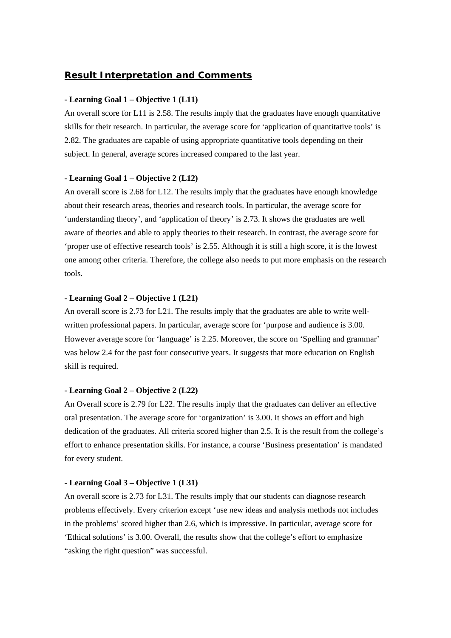## *Result Interpretation and Comments*

#### **- Learning Goal 1 – Objective 1 (L11)**

An overall score for L11 is 2.58. The results imply that the graduates have enough quantitative skills for their research. In particular, the average score for 'application of quantitative tools' is 2.82. The graduates are capable of using appropriate quantitative tools depending on their subject. In general, average scores increased compared to the last year.

#### **- Learning Goal 1 – Objective 2 (L12)**

An overall score is 2.68 for L12. The results imply that the graduates have enough knowledge about their research areas, theories and research tools. In particular, the average score for 'understanding theory', and 'application of theory' is 2.73. It shows the graduates are well aware of theories and able to apply theories to their research. In contrast, the average score for 'proper use of effective research tools' is 2.55. Although it is still a high score, it is the lowest one among other criteria. Therefore, the college also needs to put more emphasis on the research tools.

#### **- Learning Goal 2 – Objective 1 (L21)**

An overall score is 2.73 for L21. The results imply that the graduates are able to write wellwritten professional papers. In particular, average score for 'purpose and audience is 3.00. However average score for 'language' is 2.25. Moreover, the score on 'Spelling and grammar' was below 2.4 for the past four consecutive years. It suggests that more education on English skill is required.

#### **- Learning Goal 2 – Objective 2 (L22)**

An Overall score is 2.79 for L22. The results imply that the graduates can deliver an effective oral presentation. The average score for 'organization' is 3.00. It shows an effort and high dedication of the graduates. All criteria scored higher than 2.5. It is the result from the college's effort to enhance presentation skills. For instance, a course 'Business presentation' is mandated for every student.

#### **- Learning Goal 3 – Objective 1 (L31)**

An overall score is 2.73 for L31. The results imply that our students can diagnose research problems effectively. Every criterion except 'use new ideas and analysis methods not includes in the problems' scored higher than 2.6, which is impressive. In particular, average score for 'Ethical solutions' is 3.00. Overall, the results show that the college's effort to emphasize "asking the right question" was successful.